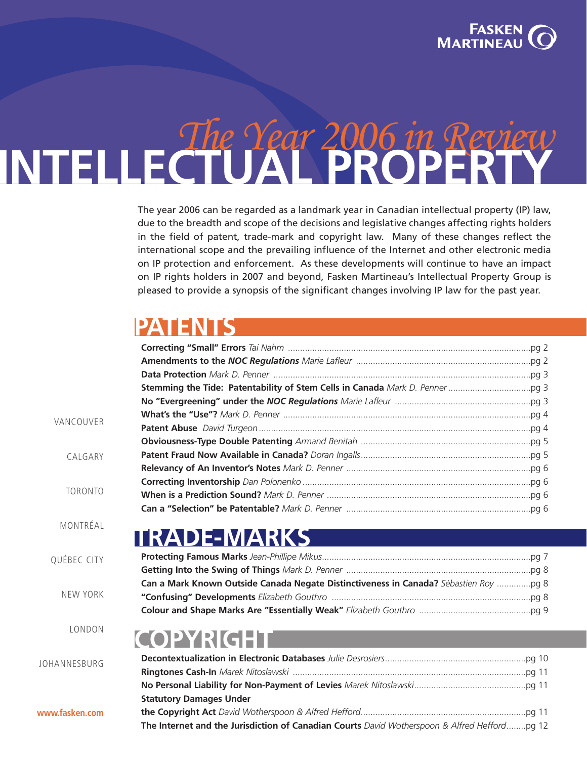

### The Year 2006 in Review **INTELLECTUAL PROPERTY**

The year 2006 can be regarded as a landmark year in Canadian intellectual property (IP) law, due to the breadth and scope of the decisions and legislative changes affecting rights holders in the field of patent, trade-mark and copyright law. Many of these changes reflect the international scope and the prevailing influence of the Internet and other electronic media on IP protection and enforcement. As these developments will continue to have an impact on IP rights holders in 2007 and beyond, Fasken [Martineau's](http://www.fasken.com/web/fmdwebsite.nsf/.pgRedirect?OpenPage) [Intellectual](http://www.fasken.com/WEB/FMDWEBSITE.NSF/AllDoc/1AAD28A7090EB4DD85256A680074911F?OpenDocument) Property Group is pleased to provide a synopsis of the significant changes involving IP law for the past year.

### **PATENT**

| VANCOUVER       |                                                                                              |  |
|-----------------|----------------------------------------------------------------------------------------------|--|
|                 |                                                                                              |  |
|                 |                                                                                              |  |
| CALGARY         |                                                                                              |  |
|                 |                                                                                              |  |
| <b>TORONTO</b>  |                                                                                              |  |
|                 |                                                                                              |  |
|                 |                                                                                              |  |
| MONTRÉAL        |                                                                                              |  |
|                 | <b>TRADE-MARKS</b>                                                                           |  |
| QUÉBEC CITY     |                                                                                              |  |
|                 |                                                                                              |  |
|                 | Can a Mark Known Outside Canada Negate Distinctiveness in Canada? Sébastien Roy  pg 8        |  |
| <b>NEW YORK</b> |                                                                                              |  |
|                 |                                                                                              |  |
| LONDON          | <b>COPYRIGHT</b>                                                                             |  |
| JOHANNESBURG    |                                                                                              |  |
|                 |                                                                                              |  |
|                 |                                                                                              |  |
|                 | <b>Statutory Damages Under</b>                                                               |  |
| www.fasken.com  |                                                                                              |  |
|                 | The Internet and the Jurisdiction of Canadian Courts David Wotherspoon & Alfred Heffordpq 12 |  |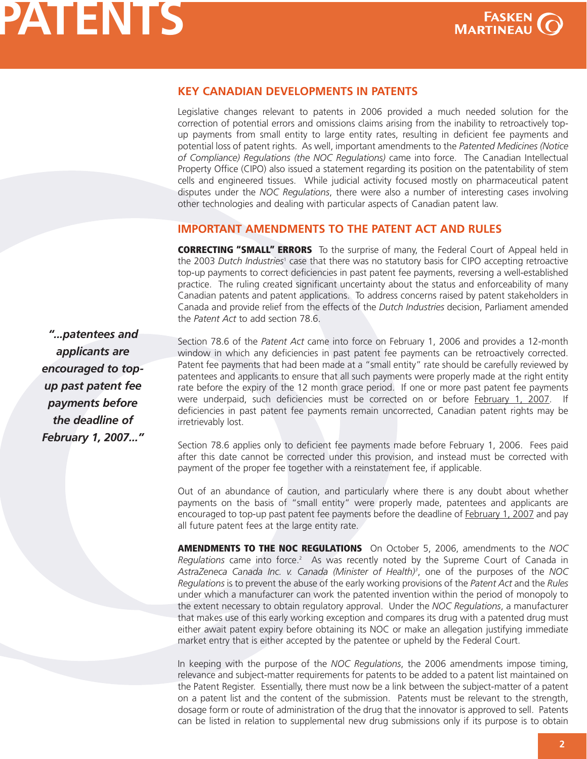

**P**

### <span id="page-1-0"></span>**KEY CANADIAN DEVELOPMENTS IN PATENTS**

Legislative changes relevant to patents in 2006 provided a much needed solution for the correction of potential errors and omissions claims arising from the inability to retroactively topup payments from small entity to large entity rates, resulting in deficient fee payments and potential loss of patent rights. As well, important amendments to the *Patented Medicines (Notice of Compliance) Regulations (the NOC Regulations)* came into force. The Canadian Intellectual Property Office (CIPO) also issued a statement regarding its position on the patentability of stem cells and engineered tissues. While judicial activity focused mostly on pharmaceutical patent disputes under the *NOC Regulations*, there were also a number of interesting cases involving other technologies and dealing with particular aspects of Canadian patent law.

### **IMPORTANT AMENDMENTS TO THE PATENT ACT AND RULES**

**CORRECTING "SMALL" ERRORS** To the surprise of many, the Federal Court of Appeal held in the 2003 *Dutch [Industries](http://decisions.fca-caf.gc.ca/en/2003/2003fca121/2003fca121.html)*<sup>1</sup> case that there was no statutory basis for CIPO accepting retroactive top-up payments to correct deficiencies in past patent fee payments, reversing a well-established practice. The ruling created significant uncertainty about the status and enforceability of many Canadian patents and patent applications. To address concerns raised by patent stakeholders in Canada and provide relief from the effects of the *Dutch Industries* decision, Parliament amended the *Patent Act* to add section 78.6.

*"...patentees and applicants are encouraged to topup past patent fee payments before the deadline of February 1, 2007..."*

Section 78.6 of the *Patent Act* came into force on February 1, 2006 and provides a 12-month window in which any deficiencies in past patent fee payments can be retroactively corrected. Patent fee payments that had been made at a "small entity" rate should be carefully reviewed by patentees and applicants to ensure that all such payments were properly made at the right entity rate before the expiry of the 12 month grace period. If one or more past patent fee payments were underpaid, such deficiencies must be corrected on or before February 1, 2007. If deficiencies in past patent fee payments remain uncorrected, Canadian patent rights may be irretrievably lost.

Section 78.6 applies only to deficient fee payments made before February 1, 2006. Fees paid after this date cannot be corrected under this provision, and instead must be corrected with payment of the proper fee together with a reinstatement fee, if applicable.

Out of an abundance of caution, and particularly where there is any doubt about whether payments on the basis of "small entity" were properly made, patentees and applicants are encouraged to top-up past patent fee payments before the deadline of February 1, 2007 and pay all future patent fees at the large entity rate.

**AMENDMENTS TO THE NOC REGULATIONS** On October 5, 2006, amendments to the *NOC* [Regulations](http://canadagazette.gc.ca/partII/2006/20061018/html/sor242-e.html) came into force.<sup>2</sup> As was recently noted by the Supreme Court of Canada in *[AstraZeneca](http://scc.lexum.umontreal.ca/en/2006/2006scc49/2006scc49.html) Canada Inc. v. Canada (Minister of Health) 3* , one of the purposes of the *NOC Regulations* is to prevent the abuse of the early working provisions of the *Patent Act* and the *Rules* under which a manufacturer can work the patented invention within the period of monopoly to the extent necessary to obtain regulatory approval. Under the *NOC Regulations*, a manufacturer that makes use of this early working exception and compares its drug with a patented drug must either await patent expiry before obtaining its NOC or make an allegation justifying immediate market entry that is either accepted by the patentee or upheld by the Federal Court.

In keeping with the purpose of the *NOC Regulations*, the 2006 amendments impose timing, relevance and subject-matter requirements for patents to be added to a patent list maintained on the Patent Register. Essentially, there must now be a link between the subject-matter of a patent on a patent list and the content of the submission. Patents must be relevant to the strength, dosage form or route of administration of the drug that the innovator is approved to sell. Patents can be listed in relation to supplemental new drug submissions only if its purpose is to obtain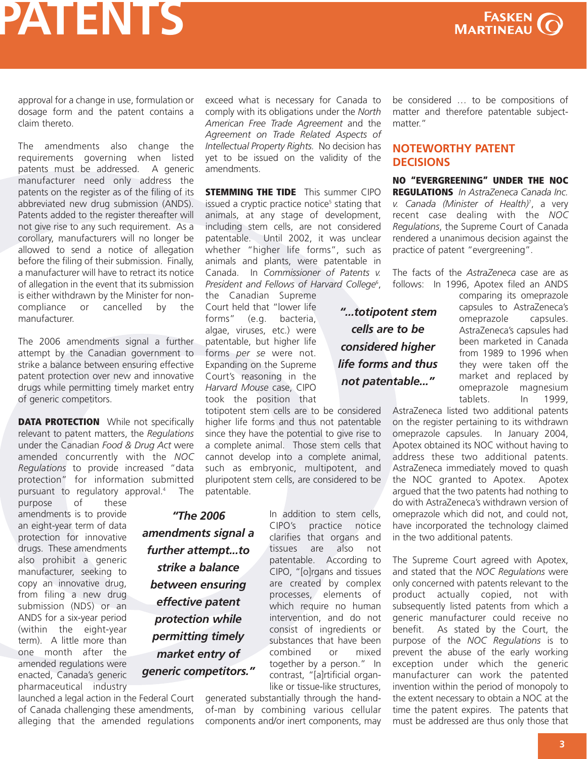

<span id="page-2-0"></span>approval for a change in use, formulation or dosage form and the patent contains a claim thereto.

The amendments also change the requirements governing when listed patents must be addressed. A generic manufacturer need only address the patents on the register as of the filing of its abbreviated new drug submission (ANDS). Patents added to the register thereafter will not give rise to any such requirement. As a corollary, manufacturers will no longer be allowed to send a notice of allegation before the filing of their submission. Finally, a manufacturer will have to retract its notice of allegation in the event that its submission is either withdrawn by the Minister for noncompliance or cancelled by the manufacturer.

The 2006 amendments signal a further attempt by the Canadian government to strike a balance between ensuring effective patent protection over new and innovative drugs while permitting timely market entry of generic competitors.

**DATA PROTECTION** While not specifically relevant to patent matters, the *Regulations* under the Canadian *Food & Drug Act* were amended concurrently with the *NOC Regulations* to provide increased "data protection" for [information](http://canadagazette.gc.ca/partII/2006/20061018/html/sor241-e.html) submitted pursuant to regulatory approval. <sup>4</sup> The

purpose of these amendments is to provide an eight-year term of data protection for innovative drugs. These amendments also prohibit a generic manufacturer, seeking to copy an innovative drug, from filing a new drug submission (NDS) or an ANDS for a six-year period (within the eight-year term). A little more than one month after the amended regulations were enacted, Canada's generic pharmaceutical industry

launched a legal action in the Federal Court of Canada challenging these amendments, alleging that the amended regulations exceed what is necessary for Canada to comply with its obligations under the *North American Free Trade Agreement* and the *Agreement on Trade Related Aspects of Intellectual Property Rights.* No decision has yet to be issued on the validity of the amendments.

**[STEMMING](http://strategis.gc.ca/sc_mrksv/cipo/patents/notice_jun20_06-e.html) THE TIDE** This summer CIPO issued a cryptic practice notice<sup>5</sup> stating that animals, at any stage of development, including stem cells, are not considered patentable. Until 2002, it was unclear whether "higher life forms", such as animals and plants, were patentable in Canada. In *[Commissioner](http://scc.lexum.umontreal.ca/en/2002/2002scc76/2002scc76.html) of Patents v. President and Fellows of Harvard College*<sup>6</sup> ,

the Canadian Supreme Court held that "lower life forms" (e.g. bacteria, algae, viruses, etc.) were patentable, but higher life forms *per se* were not. Expanding on the Supreme Court's reasoning in the *Harvard Mouse* case, CIPO took the position that

totipotent stem cells are to be considered higher life forms and thus not patentable since they have the potential to give rise to a complete animal. Those stem cells that cannot develop into a complete animal, such as embryonic, multipotent, and pluripotent stem cells, are considered to be patentable.

In addition to stem cells, CIPO's practice notice clarifies that organs and tissues are also not patentable. According to CIPO, "[o]rgans and tissues are created by complex processes, elements of which require no human intervention, and do not consist of ingredients or substances that have been combined or mixed together by a person." In contrast, "[a]rtificial organlike or tissue-like structures, *"The 2006 amendments signal a further attempt...to strike a balance between ensuring effective patent protection while permitting timely market entry of generic competitors."*

generated substantially through the handof-man by combining various cellular components and/or inert components, may be considered … to be compositions of matter and therefore patentable subjectmatter."

### **NOTEWORTHY PATENT DECISIONS**

**NO "EVERGREENING" UNDER THE NOC [REGULATIONS](http://scc.lexum.umontreal.ca/en/2006/2006scc49/2006scc49.html)** *In AstraZeneca Canada Inc. v. Canada (Minister of Health)* 7 , a very recent case dealing with the *NOC Regulations*, the Supreme Court of Canada rendered a unanimous decision against the practice of patent "evergreening".

The facts of the *AstraZeneca* case are as follows: In 1996, Apotex filed an ANDS

> comparing its omeprazole capsules to AstraZeneca's omeprazole capsules. AstraZeneca's capsules had been marketed in Canada from 1989 to 1996 when they were taken off the market and replaced by omeprazole magnesium tablets. In 1999,

AstraZeneca listed two additional patents on the register pertaining to its withdrawn omeprazole capsules. In January 2004, Apotex obtained its NOC without having to address these two additional patents. AstraZeneca immediately moved to quash the NOC granted to Apotex. Apotex argued that the two patents had nothing to do with AstraZeneca's withdrawn version of omeprazole which did not, and could not, have incorporated the technology claimed in the two additional patents.

The Supreme Court agreed with Apotex, and stated that the *NOC Regulations* were only concerned with patents relevant to the product actually copied, not with subsequently listed patents from which a generic manufacturer could receive no benefit. As stated by the Court, the purpose of the *NOC Regulations* is to prevent the abuse of the early working exception under which the generic manufacturer can work the patented invention within the period of monopoly to the extent necessary to obtain a NOC at the time the patent expires. The patents that must be addressed are thus only those that

*"...totipotent stem cells are to be considered higher life forms and thus not patentable..."*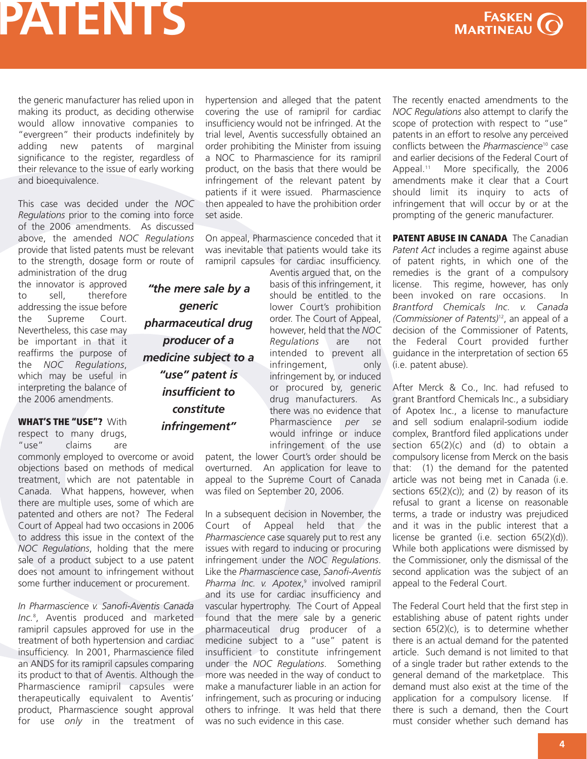<span id="page-3-0"></span>the generic manufacturer has relied upon in making its product, as deciding otherwise would allow innovative companies to "evergreen" their products indefinitely by adding new patents of marginal significance to the register, regardless of their relevance to the issue of early working and bioequivalence.

This case was decided under the *NOC Regulations* prior to the coming into force of the 2006 amendments. As discussed above, the amended *NOC Regulations* provide that listed patents must be relevant to the strength, dosage form or route of

administration of the drug the innovator is approved to sell, therefore addressing the issue before the Supreme Court. Nevertheless, this case may be important in that it reaffirms the purpose of the *NOC Regulations*, which may be useful in interpreting the balance of the 2006 amendments.

**WHAT'S THE "USE"?** With respect to many drugs, "use" claims are

commonly employed to overcome or avoid objections based on methods of medical treatment, which are not patentable in Canada. What happens, however, when there are multiple uses, some of which are patented and others are not? The Federal Court of Appeal had two occasions in 2006 to address this issue in the context of the *NOC Regulations*, holding that the mere sale of a product subject to a use patent does not amount to infringement without some further inducement or procurement.

*In [Pharmascience](http://decisions.fca-caf.gc.ca/en/2006/2006fca229/2006fca229.html) v. Sanofi-Aventis Canada Inc.* 8 , Aventis produced and marketed ramipril capsules approved for use in the treatment of both hypertension and cardiac insufficiency. In 2001, Pharmascience filed an ANDS for its ramipril capsules comparing its product to that of Aventis. Although the Pharmascience ramipril capsules were therapeutically equivalent to Aventis' product, Pharmascience sought approval for use *only* in the treatment of

hypertension and alleged that the patent covering the use of ramipril for cardiac insufficiency would not be infringed. At the trial level, Aventis successfully obtained an order prohibiting the Minister from issuing a NOC to Pharmascience for its ramipril product, on the basis that there would be infringement of the relevant patent by patients if it were issued. Pharmascience then appealed to have the prohibition order set aside.

On appeal, Pharmascience conceded that it was inevitable that patients would take its ramipril capsules for cardiac insufficiency.

*"the mere sale by a generic pharmaceutical drug producer of a medicine subject to a "use" patent is insufficient to constitute infringement"*

Aventis argued that, on the basis of this infringement, it should be entitled to the lower Court's prohibition order. The Court of Appeal, however, held that the *NOC Regulations* are not intended to prevent all infringement, only infringement by, or induced or procured by, generic drug manufacturers. As there was no evidence that Pharmascience *per se* would infringe or induce infringement of the use

patent, the lower Court's order should be overturned. An application for leave to appeal to the Supreme Court of Canada was filed on September 20, 2006.

In a subsequent decision in November, the Court of Appeal held that the *Pharmascience* case squarely put to rest any issues with regard to inducing or procuring infringement under the *NOC Regulations*. Like the *[Pharmascience](http://decisions.fca-caf.gc.ca/en/2006/2006fca357/2006fca357.html)* case, *Sanofi-Aventis Pharma Inc. v. Apotex*, <sup>9</sup> involved ramipril and its use for cardiac insufficiency and vascular hypertrophy. The Court of Appeal found that the mere sale by a generic pharmaceutical drug producer of a medicine subject to a "use" patent is insufficient to constitute infringement under the *NOC Regulations*. Something more was needed in the way of conduct to make a manufacturer liable in an action for infringement, such as procuring or inducing others to infringe. It was held that there was no such evidence in this case.

The recently enacted amendments to the *NOC Regulations* also attempt to clarify the scope of protection with respect to "use" patents in an effort to resolve any perceived conflicts between the *[Pharmascience](http://decisions.fca-caf.gc.ca/en/2006/2006fca229/2006fca229.html)*<sup>10</sup> case and earlier decisions of the Federal Court of Appeal.<sup>11</sup> More [specifically,](http://decisions.fca-caf.gc.ca/en/2002/2002fca290/2002fca290.html) the 2006 amendments make it clear that a Court should limit its inquiry to acts of infringement that will occur by or at the prompting of the generic manufacturer.

**PATENT ABUSE IN CANADA** The Canadian *Patent Act* includes a regime against abuse of patent rights, in which one of the remedies is the grant of a compulsory license. This regime, however, has only been invoked on rare occasions. In *Brantford Chemicals Inc. v. Canada [\(Commissioner](http://decisions.fct-cf.gc.ca/en/2006/2006fc1341/2006fc1341.html) of Patents)* 12 , an appeal of a decision of the Commissioner of Patents, the Federal Court provided further guidance in the interpretation of section 65 (i.e. patent abuse).

After Merck & Co., Inc. had refused to grant Brantford Chemicals Inc., a subsidiary of Apotex Inc., a license to manufacture and sell sodium enalapril-sodium iodide complex, Brantford filed applications under section  $65(2)(c)$  and  $(d)$  to obtain a compulsory license from Merck on the basis that: (1) the demand for the patented article was not being met in Canada (i.e. sections  $65(2)(c)$ ; and (2) by reason of its refusal to grant a license on reasonable terms, a trade or industry was prejudiced and it was in the public interest that a license be granted (i.e. section 65(2)(d)). While both applications were dismissed by the Commissioner, only the dismissal of the second application was the subject of an appeal to the Federal Court.

The Federal Court held that the first step in establishing abuse of patent rights under section  $65(2)(c)$ , is to determine whether there is an actual demand for the patented article. Such demand is not limited to that of a single trader but rather extends to the general demand of the marketplace. This demand must also exist at the time of the application for a compulsory license. If there is such a demand, then the Court must consider whether such demand has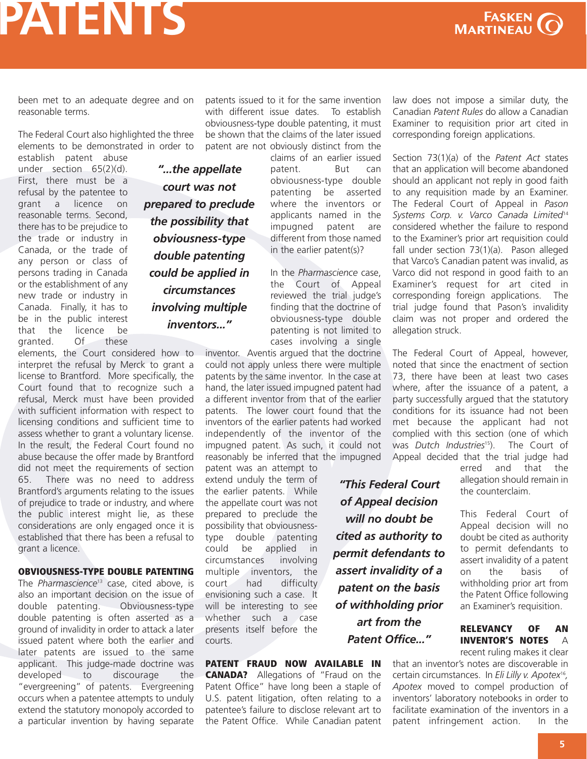

**P**

### <span id="page-4-0"></span>**PATENTS**

been met to an adequate degree and on reasonable terms.

The Federal Court also highlighted the three elements to be demonstrated in order to

> *"...the appellate court was not prepared to preclude the possibility that obviousness-type double patenting could be applied in circumstances involving multiple inventors..."*

establish patent abuse under section 65(2)(d). First, there must be a refusal by the patentee to grant a licence on reasonable terms. Second, there has to be prejudice to the trade or industry in Canada, or the trade of any person or class of persons trading in Canada or the establishment of any new trade or industry in Canada. Finally, it has to be in the public interest that the licence be granted. Of these

elements, the Court considered how to interpret the refusal by Merck to grant a license to Brantford. More specifically, the Court found that to recognize such a refusal, Merck must have been provided with sufficient information with respect to licensing conditions and sufficient time to assess whether to grant a voluntary license. In the result, the Federal Court found no abuse because the offer made by Brantford did not meet the requirements of section 65. There was no need to address Brantford's arguments relating to the issues of prejudice to trade or industry, and where the public interest might lie, as these considerations are only engaged once it is established that there has been a refusal to grant a licence.

#### **OBVIOUSNESS-TYPE DOUBLE PATENTING**

The *[Pharmascience](http://decisions.fca-caf.gc.ca/en/2006/2006fca229/2006fca229.html)*<sup>13</sup> case, cited above, is also an important decision on the issue of double patenting. Obviousness-type double patenting is often asserted as a ground of invalidity in order to attack a later issued patent where both the earlier and later patents are issued to the same applicant. This judge-made doctrine was developed to discourage the "evergreening" of patents. Evergreening occurs when a patentee attempts to unduly extend the statutory monopoly accorded to a particular invention by having separate

patents issued to it for the same invention with different issue dates. To establish obviousness-type double patenting, it must be shown that the claims of the later issued patent are not obviously distinct from the

claims of an earlier issued patent. But can obviousness-type double patenting be asserted where the inventors or applicants named in the impugned patent are different from those named in the earlier patent(s)?

In the *Pharmascience* case, the Court of Appeal reviewed the trial judge's finding that the doctrine of obviousness-type double patenting is not limited to cases involving a single

> *"This Federal Court of Appeal decision will no doubt be cited as authority to permit defendants to assert invalidity of a patent on the basis of withholding prior art from the Patent Office..."*

inventor. Aventis argued that the doctrine could not apply unless there were multiple patents by the same inventor. In the case at hand, the later issued impugned patent had a different inventor from that of the earlier patents. The lower court found that the inventors of the earlier patents had worked independently of the inventor of the impugned patent. As such, it could not reasonably be inferred that the impugned

patent was an attempt to extend unduly the term of the earlier patents. While the appellate court was not prepared to preclude the possibility that obviousnesstype double patenting could be applied in circumstances involving multiple inventors, the court had difficulty envisioning such a case. It will be interesting to see whether such a case presents itself before the courts.

**PATENT FRAUD NOW AVAILABLE IN CANADA?** Allegations of "Fraud on the Patent Office" have long been a staple of U.S. patent litigation, often relating to a patentee's failure to disclose relevant art to the Patent Office. While Canadian patent law does not impose a similar duty, the Canadian *Patent Rules* do allow a Canadian Examiner to requisition prior art cited in corresponding foreign applications.

Section 73(1)(a) of the *Patent Act* states that an application will become abandoned should an applicant not reply in good faith to any requisition made by an Examiner. The [Federal](http://decisions.fca-caf.gc.ca/en/2006/2006fca100/2006fca100.html) Court of Appeal in *Pason Systems Corp. v. Varco Canada Limited*<sup>14</sup> considered whether the failure to respond to the Examiner's prior art requisition could fall under section 73(1)(a). Pason alleged that Varco's Canadian patent was invalid, as Varco did not respond in good faith to an Examiner's request for art cited in corresponding foreign applications. The trial judge found that Pason's invalidity claim was not proper and ordered the allegation struck.

The Federal Court of Appeal, however, noted that since the enactment of section 73, there have been at least two cases where, after the issuance of a patent, a party successfully argued that the statutory conditions for its issuance had not been met because the applicant had not complied with this section (one of which was *Dutch [Industries](http://decisions.fca-caf.gc.ca/en/2003/2003fca121/2003fca121.html)*<sup>15</sup> ). The Court of Appeal decided that the trial judge had

erred and that the allegation should remain in the counterclaim.

This Federal Court of Appeal decision will no doubt be cited as authority to permit defendants to assert invalidity of a patent on the basis of withholding prior art from the Patent Office following an Examiner's requisition.

### **RELEVANCY OF AN INVENTOR'S NOTES** A

recent ruling makes it clear

that an inventor's notes are discoverable in certain [circumstances.](http://decisions.fct-cf.gc.ca/en/2006/2006fc282/2006fc282.html) In *Eli Lilly v. Apotex*<sup>16</sup> *, Apotex* moved to compel production of inventors' laboratory notebooks in order to facilitate examination of the inventors in a patent infringement action. In the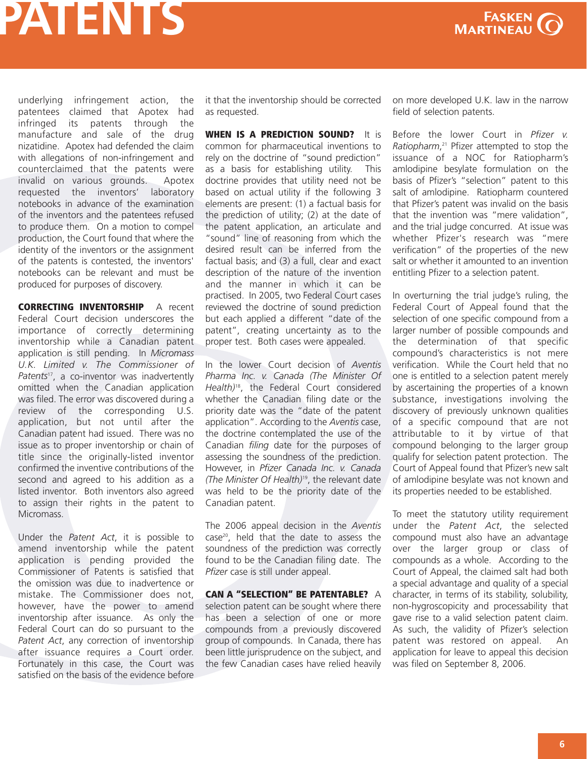

<span id="page-5-0"></span>underlying infringement action, the patentees claimed that Apotex had infringed its patents through the manufacture and sale of the drug nizatidine. Apotex had defended the claim with allegations of non-infringement and counterclaimed that the patents were invalid on various grounds. Apotex requested the inventors' laboratory notebooks in advance of the examination of the inventors and the patentees refused to produce them. On a motion to compel production, the Court found that where the identity of the inventors or the assignment of the patents is contested, the inventors' notebooks can be relevant and must be produced for purposes of discovery.

**CORRECTING INVENTORSHIP** A recent Federal Court decision underscores the importance of correctly determining inventorship while a Canadian patent application is still pending. In *Micromass U.K. Limited v. The [Commissioner](http://decisions.fct-cf.gc.ca/en/2006/2006fc117/2006fc117.html) of Patents*<sup>17</sup> , a co-inventor was inadvertently omitted when the Canadian application was filed. The error was discovered during a review of the corresponding U.S. application, but not until after the Canadian patent had issued. There was no issue as to proper inventorship or chain of title since the originally-listed inventor confirmed the inventive contributions of the second and agreed to his addition as a listed inventor. Both inventors also agreed to assign their rights in the patent to Micromass.

Under the *Patent Act*, it is possible to amend inventorship while the patent application is pending provided the Commissioner of Patents is satisfied that the omission was due to inadvertence or mistake. The Commissioner does not, however, have the power to amend inventorship after issuance. As only the Federal Court can do so pursuant to the *Patent Act*, any correction of inventorship after issuance requires a Court order. Fortunately in this case, the Court was satisfied on the basis of the evidence before

it that the inventorship should be corrected as requested.

**WHEN IS A PREDICTION SOUND?** It is common for pharmaceutical inventions to rely on the doctrine of "sound prediction" as a basis for establishing utility. This doctrine provides that utility need not be based on actual utility if the following 3 elements are present: (1) a factual basis for the prediction of utility; (2) at the date of the patent application, an articulate and "sound" line of reasoning from which the desired result can be inferred from the factual basis; and (3) a full, clear and exact description of the nature of the invention and the manner in which it can be practised. In 2005, two Federal Court cases reviewed the doctrine of sound prediction but each applied a different "date of the patent", creating uncertainty as to the proper test. Both cases were appealed.

In the lower Court decision of *Aventis Pharma Inc. v. Canada (The Minister Of Health)* 18 , the Federal Court [considered](http://decisions.fct-cf.gc.ca/en/2005/2005fc1283/2005fc1283.html) whether the Canadian filing date or the priority date was the "date of the patent application". According to the *Aventis* case, the doctrine contemplated the use of the Canadian *filing* date for the purposes of assessing the soundness of the prediction. [However,](http://decisions.fct-cf.gc.ca/en/2005/2005fc1205/2005fc1205.html) in *Pfizer Canada Inc. v. Canada (The Minister Of Health)* 19 , the relevant date was held to be the priority date of the Canadian patent.

The 2006 appeal [decision](http://decisions.fca-caf.gc.ca/en/2006/2006fca64/2006fca64.html) in the *Aventis* case<sup>20</sup>, held that the date to assess the soundness of the prediction was correctly found to be the Canadian filing date. The *Pfizer* case is still under appeal.

**CAN A "SELECTION" BE PATENTABLE?** A selection patent can be sought where there has been a selection of one or more compounds from a previously discovered group of compounds. In Canada, there has been little jurisprudence on the subject, and the few Canadian cases have relied heavily on more developed U.K. law in the narrow field of selection patents.

Before the lower Court in *Pfizer v. [Ratiopharm](http://decisions.fca-caf.gc.ca/en/2006/2006fca214/2006fca214.html)*, <sup>21</sup> Pfizer attempted to stop the issuance of a NOC for Ratiopharm's amlodipine besylate formulation on the basis of Pfizer's "selection" patent to this salt of amlodipine. Ratiopharm countered that Pfizer's patent was invalid on the basis that the invention was "mere validation", and the trial judge concurred. At issue was whether Pfizer's research was "mere verification" of the properties of the new salt or whether it amounted to an invention entitling Pfizer to a selection patent.

In overturning the trial judge's ruling, the Federal Court of Appeal found that the selection of one specific compound from a larger number of possible compounds and the determination of that specific compound's characteristics is not mere verification. While the Court held that no one is entitled to a selection patent merely by ascertaining the properties of a known substance, investigations involving the discovery of previously unknown qualities of a specific compound that are not attributable to it by virtue of that compound belonging to the larger group qualify for selection patent protection. The Court of Appeal found that Pfizer's new salt of amlodipine besylate was not known and its properties needed to be established.

To meet the statutory utility requirement under the *Patent Act*, the selected compound must also have an advantage over the larger group or class of compounds as a whole. According to the Court of Appeal, the claimed salt had both a special advantage and quality of a special character, in terms of its stability, solubility, non-hygroscopicity and processability that gave rise to a valid selection patent claim. As such, the validity of Pfizer's selection patent was restored on appeal. An application for leave to appeal this decision was filed on September 8, 2006.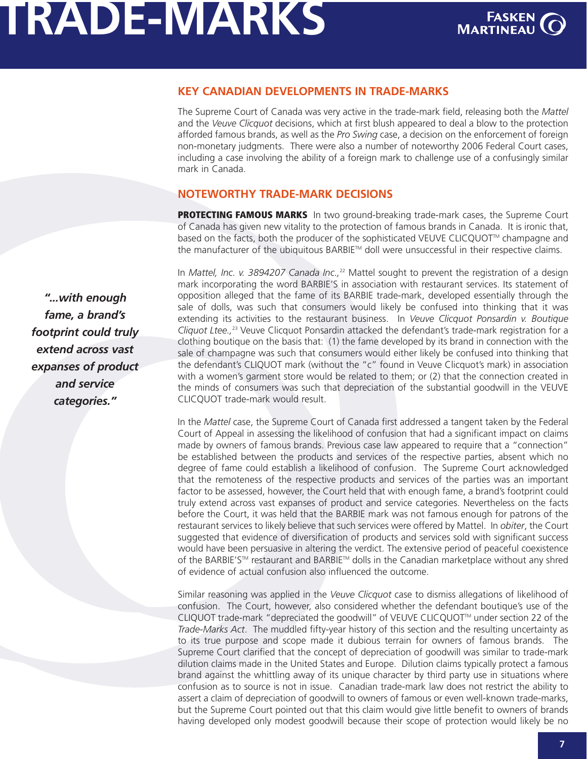# <span id="page-6-0"></span>**TRADE-MARKS**



### **KEY CANADIAN DEVELOPMENTS IN TRADE-MARKS**

The Supreme Court of Canada was very active in the trade-mark field, releasing both the *Mattel* and the *Veuve Clicquot* decisions, which at first blush appeared to deal a blow to the protection afforded famous brands, as well as the *Pro Swing* case, a decision on the enforcement of foreign non-monetary judgments. There were also a number of noteworthy 2006 Federal Court cases, including a case involving the ability of a foreign mark to challenge use of a confusingly similar mark in Canada.

### **NOTEWORTHY TRADE-MARK DECISIONS**

**PROTECTING FAMOUS MARKS** In two ground-breaking trade-mark cases, the Supreme Court of Canada has given new vitality to the protection of famous brands in Canada. It is ironic that, based on the facts, both the producer of the sophisticated VEUVE CLICQUOT™ champagne and the manufacturer of the ubiquitous BARBIE™ doll were unsuccessful in their respective claims.

In *Mattel, Inc. v. [3894207](http://scc.lexum.umontreal.ca/en/2006/2006scc22/2006scc22.html) Canada Inc.,* <sup>22</sup> Mattel sought to prevent the registration of a design mark incorporating the word BARBIE'S in association with restaurant services. Its statement of opposition alleged that the fame of its BARBIE trade-mark, developed essentially through the sale of dolls, was such that consumers would likely be confused into thinking that it was extending its activities to the restaurant business. In *Veuve Clicquot Ponsardin v. Boutique Cliquot Ltee.,* <sup>23</sup> Veuve Clicquot Ponsardin attacked the [defendant's](http://scc.lexum.umontreal.ca/en/2006/2006scc23/2006scc23.html) trade-mark registration for a clothing boutique on the basis that: (1) the fame developed by its brand in connection with the sale of champagne was such that consumers would either likely be confused into thinking that the defendant's CLIQUOT mark (without the "c" found in Veuve Clicquot's mark) in association with a women's garment store would be related to them; or (2) that the connection created in the minds of consumers was such that depreciation of the substantial goodwill in the VEUVE CLICQUOT trade-mark would result.

In the *Mattel* case, the Supreme Court of Canada first addressed a tangent taken by the Federal Court of Appeal in assessing the likelihood of confusion that had a significant impact on claims made by owners of famous brands. Previous case law appeared to require that a "connection" be established between the products and services of the respective parties, absent which no degree of fame could establish a likelihood of confusion. The Supreme Court acknowledged that the remoteness of the respective products and services of the parties was an important factor to be assessed, however, the Court held that with enough fame, a brand's footprint could truly extend across vast expanses of product and service categories. Nevertheless on the facts before the Court, it was held that the BARBIE mark was not famous enough for patrons of the restaurant services to likely believe that such services were offered by Mattel. In *obiter*, the Court suggested that evidence of diversification of products and services sold with significant success would have been persuasive in altering the verdict. The extensive period of peaceful coexistence of the BARBIE'S™ restaurant and BARBIE™ dolls in the Canadian marketplace without any shred of evidence of actual confusion also influenced the outcome.

Similar reasoning was applied in the *Veuve Clicquot* case to dismiss allegations of likelihood of confusion. The Court, however, also considered whether the defendant boutique's use of the CLIQUOT trade-mark "depreciated the goodwill" of VEUVE CLICQUOT™ under section 22 of the *Trade-Marks Act*. The muddled fifty-year history of this section and the resulting uncertainty as to its true purpose and scope made it dubious terrain for owners of famous brands. The Supreme Court clarified that the concept of depreciation of goodwill was similar to trade-mark dilution claims made in the United States and Europe. Dilution claims typically protect a famous brand against the whittling away of its unique character by third party use in situations where confusion as to source is not in issue. Canadian trade-mark law does not restrict the ability to assert a claim of depreciation of goodwill to owners of famous or even well-known trade-marks, but the Supreme Court pointed out that this claim would give little benefit to owners of brands having developed only modest goodwill because their scope of protection would likely be no

*"...with enough fame, a brand's footprint could truly extend across vast expanses of product and service categories."*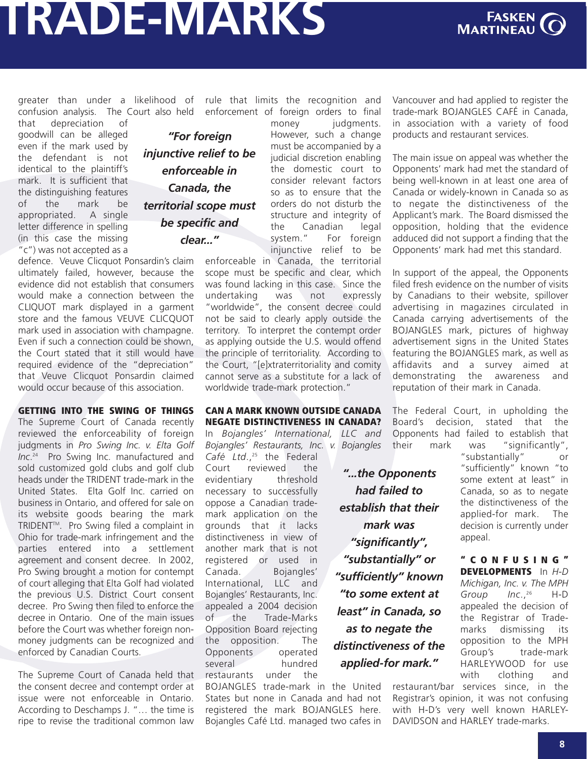# <span id="page-7-0"></span>**TRADE-MARKS**



greater than under a likelihood of confusion analysis. The Court also held

that depreciation of goodwill can be alleged even if the mark used by the defendant is not identical to the plaintiff's mark. It is sufficient that the distinguishing features of the mark be appropriated. A single letter difference in spelling (in this case the missing "c") was not accepted as a

defence. Veuve Clicquot Ponsardin's claim ultimately failed, however, because the evidence did not establish that consumers would make a connection between the CLIQUOT mark displayed in a garment store and the famous VEUVE CLICOUOT mark used in association with champagne. Even if such a connection could be shown, the Court stated that it still would have required evidence of the "depreciation" that Veuve Clicquot Ponsardin claimed would occur because of this association.

**GETTING INTO THE SWING OF THINGS** The Supreme Court of Canada recently reviewed the enforceability of foreign judgments in *Pro Swing Inc. v. Elta Golf Inc*. <sup>24</sup> Pro Swing Inc. [manufactured](http://scc.lexum.umontreal.ca/en/2006/2006scc52/2006scc52.html) and sold customized gold clubs and golf club heads under the TRIDENT trade-mark in the United States. Elta Golf Inc. carried on business in Ontario, and offered for sale on its website goods bearing the mark TRIDENTTM. Pro Swing filed a complaint in Ohio for trade-mark infringement and the parties entered into a settlement agreement and consent decree. In 2002, Pro Swing brought a motion for contempt of court alleging that Elta Golf had violated the previous U.S. District Court consent decree. Pro Swing then filed to enforce the decree in Ontario. One of the main issues before the Court was whether foreign nonmoney judgments can be recognized and enforced by Canadian Courts.

The Supreme Court of Canada held that the consent decree and contempt order at issue were not enforceable in Ontario. According to Deschamps J. "… the time is ripe to revise the traditional common law

*"For foreign injunctive relief to be enforceable in Canada, the territorial scope must be specific and clear..."*

rule that limits the recognition and enforcement of foreign orders to final money *judaments*.

However, such a change must be accompanied by a judicial discretion enabling the domestic court to consider relevant factors so as to ensure that the orders do not disturb the structure and integrity of the Canadian legal<br>system." For foreian For foreign injunctive relief to be

enforceable in Canada, the territorial scope must be specific and clear, which was found lacking in this case. Since the undertaking was not expressly "worldwide", the consent decree could not be said to clearly apply outside the territory. To interpret the contempt order as applying outside the U.S. would offend the principle of territoriality. According to the Court, "[e]xtraterritoriality and comity cannot serve as a substitute for a lack of worldwide trade-mark protection."

### **CAN A MARK KNOWN OUTSIDE CANADA NEGATE DISTINCTIVENESS IN CANADA?**

In *Bojangles' [International,](http://decisions.fct-cf.gc.ca/en/2006/2006fc657/2006fc657.html) LLC and Bojangles' Restaurants, Inc. v. Bojangles*

*Café Ltd*., <sup>25</sup> the Federal Court reviewed the evidentiary threshold necessary to successfully oppose a Canadian trademark application on the grounds that it lacks distinctiveness in view of another mark that is not registered or used in Canada. Bojangles' International, LLC and Bojangles' Restaurants, Inc. appealed a 2004 decision of the Trade-Marks Opposition Board rejecting the opposition. The Opponents operated several hundred restaurants under the

BOJANGLES trade-mark in the United States but none in Canada and had not registered the mark BOJANGLES here. Bojangles Café Ltd. managed two cafes in Vancouver and had applied to register the trade-mark BOJANGLES CAFÉ in Canada, in association with a variety of food products and restaurant services.

The main issue on appeal was whether the Opponents' mark had met the standard of being well-known in at least one area of Canada or widely-known in Canada so as to negate the distinctiveness of the Applicant's mark. The Board dismissed the opposition, holding that the evidence adduced did not support a finding that the Opponents' mark had met this standard.

In support of the appeal, the Opponents filed fresh evidence on the number of visits by Canadians to their website, spillover advertising in magazines circulated in Canada carrying advertisements of the BOJANGLES mark, pictures of highway advertisement signs in the United States featuring the BOJANGLES mark, as well as affidavits and a survey aimed at demonstrating the awareness and reputation of their mark in Canada.

The Federal Court, in upholding the Board's decision, stated that the Opponents had failed to establish that their mark was "significantly",

*"...the Opponents had failed to establish that their mark was "significantly", "substantially" or "sufficiently" known "to some extent at least" in Canada, so as to negate the distinctiveness of the applied-for mark."*

"substantially" or "sufficiently" known "to some extent at least" in Canada, so as to negate the distinctiveness of the applied-for mark. The decision is currently under appeal.

**" C O N F U S I N G " [DEVELOPMENTS](http://decisions.fct-cf.gc.ca/en/2006/2006fc538/2006fc538.html)** In *H-D Michigan, Inc. v. The MPH Group Inc*.,  $H-D$ appealed the decision of the Registrar of Trademarks dismissing its opposition to the MPH Group's trade-mark HARLEYWOOD for use with clothing and

restaurant/bar services since, in the Registrar's opinion, it was not confusing with H-D's very well known HARLEY-DAVIDSON and HARLEY trade-marks.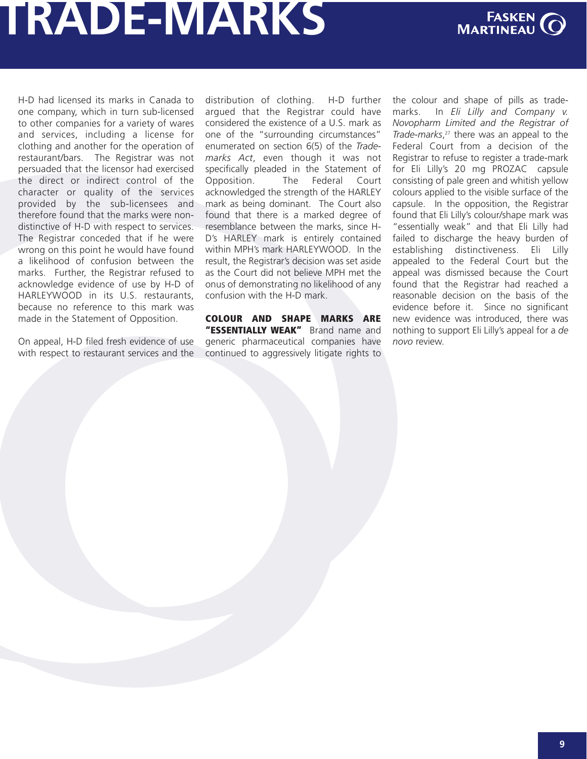# <span id="page-8-0"></span>**TRADE-MARKS**



H-D had licensed its marks in Canada to one company, which in turn sub-licensed to other companies for a variety of wares and services, including a license for clothing and another for the operation of restaurant/bars. The Registrar was not persuaded that the licensor had exercised the direct or indirect control of the character or quality of the services provided by the sub-licensees and therefore found that the marks were nondistinctive of H-D with respect to services. The Registrar conceded that if he were wrong on this point he would have found a likelihood of confusion between the marks. Further, the Registrar refused to acknowledge evidence of use by H-D of HARLEYWOOD in its U.S. restaurants, because no reference to this mark was made in the Statement of Opposition.

On appeal, H-D filed fresh evidence of use with respect to restaurant services and the distribution of clothing. H-D further argued that the Registrar could have considered the existence of a U.S. mark as one of the "surrounding circumstances" enumerated on section 6(5) of the *Trademarks Act*, even though it was not specifically pleaded in the Statement of Opposition. The Federal Court acknowledged the strength of the HARLEY mark as being dominant. The Court also found that there is a marked degree of resemblance between the marks, since H-D's HARLEY mark is entirely contained within MPH's mark HARLEYWOOD. In the result, the Registrar's decision was set aside as the Court did not believe MPH met the onus of demonstrating no likelihood of any confusion with the H-D mark.

**COLOUR AND SHAPE MARKS ARE "ESSENTIALLY WEAK"** Brand name and generic pharmaceutical companies have continued to aggressively litigate rights to the colour and shape of pills as trademarks. In *Eli Lilly and Company v. Novopharm Limited and the Registrar of [Trade-marks](http://decisions.fct-cf.gc.ca/en/2006/2006fc843/2006fc843.html)*, <sup>27</sup> there was an appeal to the Federal Court from a decision of the Registrar to refuse to register a trade-mark for Eli Lilly's 20 mg PROZAC capsule consisting of pale green and whitish yellow colours applied to the visible surface of the capsule. In the opposition, the Registrar found that Eli Lilly's colour/shape mark was "essentially weak" and that Eli Lilly had failed to discharge the heavy burden of establishing distinctiveness. Eli Lilly appealed to the Federal Court but the appeal was dismissed because the Court found that the Registrar had reached a reasonable decision on the basis of the evidence before it. Since no significant new evidence was introduced, there was nothing to support Eli Lilly's appeal for a *de novo* review.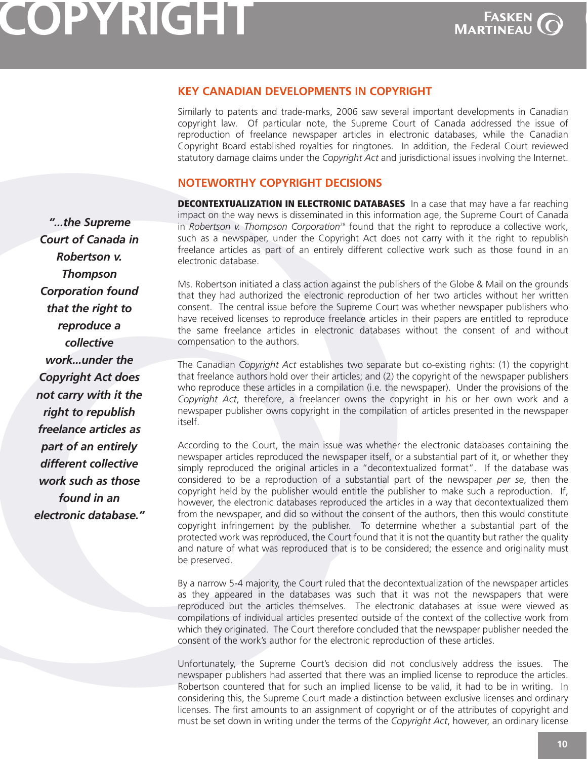# <span id="page-9-0"></span>**COPYRIGHT**



**C** 

### **KEY CANADIAN DEVELOPMENTS IN COPYRIGHT**

Similarly to patents and trade-marks, 2006 saw several important developments in Canadian copyright law. Of particular note, the Supreme Court of Canada addressed the issue of reproduction of freelance newspaper articles in electronic databases, while the Canadian Copyright Board established royalties for ringtones. In addition, the Federal Court reviewed statutory damage claims under the *Copyright Act* and jurisdictional issues involving the Internet.

### **NOTEWORTHY COPYRIGHT DECISIONS**

**DECONTEXTUALIZATION IN ELECTRONIC DATABASES** In a case that may have a far reaching impact on the way news is disseminated in this information age, the Supreme Court of Canada in *Robertson v. Thompson [Corporation](http://scc.lexum.umontreal.ca/en/2006/2006scc43/2006scc43.html)*<sup>28</sup> found that the right to reproduce a collective work, such as a newspaper, under the Copyright Act does not carry with it the right to republish freelance articles as part of an entirely different collective work such as those found in an electronic database.

Ms. Robertson initiated a class action against the publishers of the Globe & Mail on the grounds that they had authorized the electronic reproduction of her two articles without her written consent. The central issue before the Supreme Court was whether newspaper publishers who have received licenses to reproduce freelance articles in their papers are entitled to reproduce the same freelance articles in electronic databases without the consent of and without compensation to the authors.

The Canadian *Copyright Act* establishes two separate but co-existing rights: (1) the copyright that freelance authors hold over their articles; and (2) the copyright of the newspaper publishers who reproduce these articles in a compilation (i.e. the newspaper). Under the provisions of the *Copyright Act*, therefore, a freelancer owns the copyright in his or her own work and a newspaper publisher owns copyright in the compilation of articles presented in the newspaper itself.

According to the Court, the main issue was whether the electronic databases containing the newspaper articles reproduced the newspaper itself, or a substantial part of it, or whether they simply reproduced the original articles in a "decontextualized format". If the database was considered to be a reproduction of a substantial part of the newspaper *per se*, then the copyright held by the publisher would entitle the publisher to make such a reproduction. If, however, the electronic databases reproduced the articles in a way that decontextualized them from the newspaper, and did so without the consent of the authors, then this would constitute copyright infringement by the publisher. To determine whether a substantial part of the protected work was reproduced, the Court found that it is not the quantity but rather the quality and nature of what was reproduced that is to be considered; the essence and originality must be preserved.

By a narrow 5-4 majority, the Court ruled that the decontextualization of the newspaper articles as they appeared in the databases was such that it was not the newspapers that were reproduced but the articles themselves. The electronic databases at issue were viewed as compilations of individual articles presented outside of the context of the collective work from which they originated. The Court therefore concluded that the newspaper publisher needed the consent of the work's author for the electronic reproduction of these articles.

Unfortunately, the Supreme Court's decision did not conclusively address the issues. The newspaper publishers had asserted that there was an implied license to reproduce the articles. Robertson countered that for such an implied license to be valid, it had to be in writing. In considering this, the Supreme Court made a distinction between exclusive licenses and ordinary licenses. The first amounts to an assignment of copyright or of the attributes of copyright and must be set down in writing under the terms of the *Copyright Act*, however, an ordinary license

*"...the Supreme Court of Canada in Robertson v. Thompson Corporation found that the right to reproduce a collective work...under the Copyright Act does not carry with it the right to republish freelance articles as part of an entirely different collective work such as those found in an electronic database."*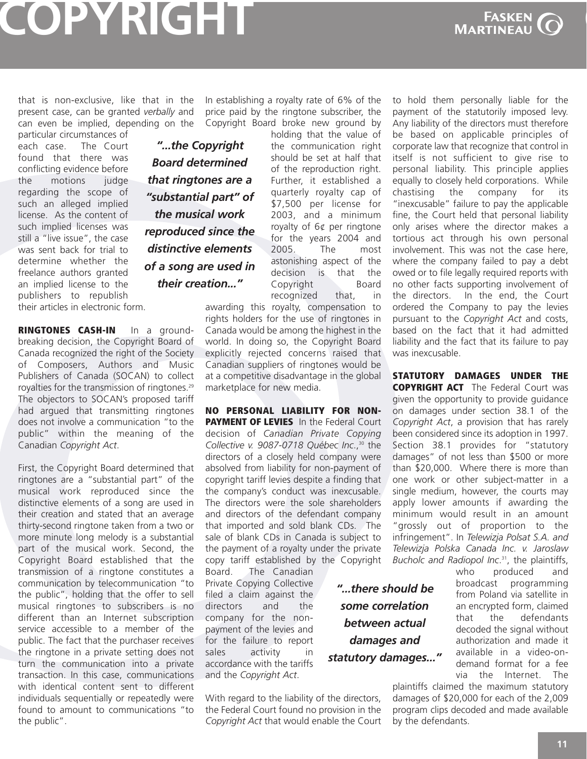### <span id="page-10-0"></span>**COPYRIGHT**

**FASKEN**<br>MARTINEAU

**C** 

that is non-exclusive, like that in the present case, can be granted *verbally* and can even be implied, depending on the

particular circumstances of each case. The Court found that there was conflicting evidence before the motions judge regarding the scope of such an alleged implied license. As the content of such implied licenses was still a "live issue", the case was sent back for trial to determine whether the freelance authors granted an implied license to the publishers to republish their articles in electronic form.

*"...the Copyright Board determined that ringtones are a "substantial part" of the musical work reproduced since the distinctive elements of a song are used in their creation..."*

**RINGTONES CASH-IN** In a groundbreaking decision, the Copyright Board of Canada recognized the right of the Society of Composers, Authors and Music Publishers of Canada (SOCAN) to collect royalties for the [transmission](http://cb-cda.gc.ca/decisions/m20060818-b.pdf) of ringtones. 29 The objectors to SOCAN's proposed tariff had argued that transmitting ringtones does not involve a communication "to the public" within the meaning of the Canadian *Copyright Act*.

First, the Copyright Board determined that ringtones are a "substantial part" of the musical work reproduced since the distinctive elements of a song are used in their creation and stated that an average thirty-second ringtone taken from a two or more minute long melody is a substantial part of the musical work. Second, the Copyright Board established that the transmission of a ringtone constitutes a communication by telecommunication "to the public", holding that the offer to sell musical ringtones to subscribers is no different than an Internet subscription service accessible to a member of the public. The fact that the purchaser receives the ringtone in a private setting does not turn the communication into a private transaction. In this case, communications with identical content sent to different individuals sequentially or repeatedly were found to amount to communications "to the public".

In establishing a royalty rate of 6% of the price paid by the ringtone subscriber, the Copyright Board broke new ground by

holding that the value of the communication right should be set at half that of the reproduction right. Further, it established a quarterly royalty cap of \$7,500 per license for 2003, and a minimum royalty of 6¢ per ringtone for the years 2004 and 2005. The most astonishing aspect of the decision is that the Copyright Board recognized that, in

awarding this royalty, compensation to rights holders for the use of ringtones in Canada would be among the highest in the world. In doing so, the Copyright Board explicitly rejected concerns raised that Canadian suppliers of ringtones would be at a competitive disadvantage in the global marketplace for new media.

**NO PERSONAL LIABILITY FOR NON-PAYMENT OF LEVIES** In the Federal Court decision of *Canadian Private Copying Collective v. [9087-0718](http://decisions.fct-cf.gc.ca/en/2006/2006fc283/2006fc283.html) Québec Inc*., <sup>30</sup> the directors of a closely held company were absolved from liability for non-payment of copyright tariff levies despite a finding that the company's conduct was inexcusable. The directors were the sole shareholders and directors of the defendant company that imported and sold blank CDs. The sale of blank CDs in Canada is subject to the payment of a royalty under the private copy tariff established by the Copyright

> *"...there should be some correlation between actual damages and statutory damages..."*

Board. The Canadian Private Copying Collective filed a claim against the directors and the company for the nonpayment of the levies and for the failure to report sales activity in accordance with the tariffs and the *Copyright Act*.

With regard to the liability of the directors, the Federal Court found no provision in the *Copyright Act* that would enable the Court to hold them personally liable for the payment of the statutorily imposed levy. Any liability of the directors must therefore be based on applicable principles of corporate law that recognize that control in itself is not sufficient to give rise to personal liability. This principle applies equally to closely held corporations. While chastising the company for its "inexcusable" failure to pay the applicable fine, the Court held that personal liability only arises where the director makes a tortious act through his own personal involvement. This was not the case here, where the company failed to pay a debt owed or to file legally required reports with no other facts supporting involvement of the directors. In the end, the Court ordered the Company to pay the levies pursuant to the *Copyright Act* and costs, based on the fact that it had admitted liability and the fact that its failure to pay was inexcusable.

**STATUTORY DAMAGES UNDER THE COPYRIGHT ACT** The Federal Court was given the opportunity to provide guidance on damages under section 38.1 of the *Copyright Act*, a provision that has rarely been considered since its adoption in 1997. Section 38.1 provides for "statutory damages" of not less than \$500 or more than \$20,000. Where there is more than one work or other subject-matter in a single medium, however, the courts may apply lower amounts if awarding the minimum would result in an amount "grossly out of proportion to the [infringement".](http://decisions.fct-cf.gc.ca/en/2006/2006fc584/2006fc584.html) In *Telewizja Polsat S.A. and Telewizja Polska Canada Inc. v. Jaroslaw Bucholc and Radiopol Inc*. 31 , the plaintiffs,

who produced and broadcast programming from Poland via satellite in an encrypted form, claimed that the defendants decoded the signal without authorization and made it available in a video-ondemand format for a fee via the Internet. The

plaintiffs claimed the maximum statutory damages of \$20,000 for each of the 2,009 program clips decoded and made available by the defendants.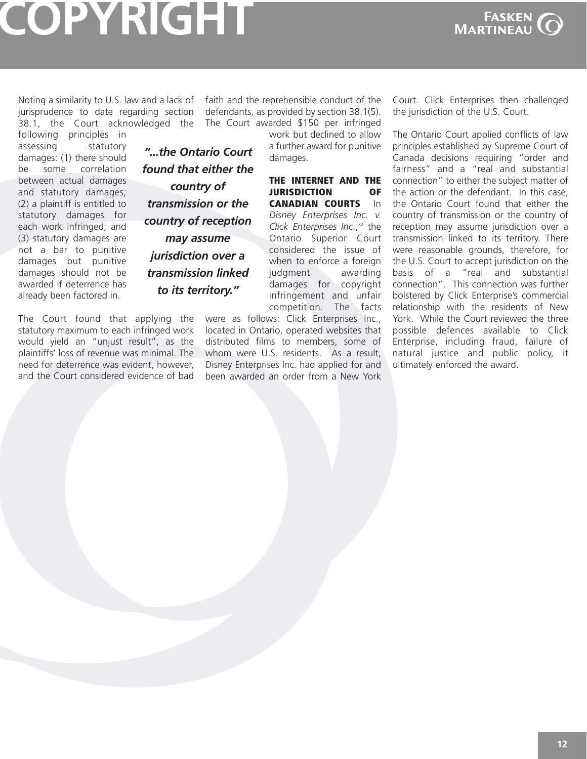# <span id="page-11-0"></span>**COPYRIGHT**



Noting a similarity to U.S. law and a lack of jurisprudence to date regarding section 38.1, the Court acknowledged the

following principles in assessing statutory damages: (1) there should be some correlation between actual damages and statutory damages; (2) a plaintiff is entitled to statutory damages for each work infringed; and (3) statutory damages are not a bar to punitive damages but punitive damages should not be awarded if deterrence has already been factored in.

*found that either the country of transmission or the country of reception may assume jurisdiction over a transmission linked to its territory."*

*"...the Ontario Court*

The Court found that applying the statutory maximum to each infringed work would yield an "unjust result", as the plaintiffs' loss of revenue was minimal. The need for deterrence was evident, however, and the Court considered evidence of bad

faith and the reprehensible conduct of the defendants, as provided by section 38.1(5). The Court awarded \$150 per infringed

> work but declined to allow a further award for punitive damages.

#### **THE INTERNET AND THE JURISDICTION OF CANADIAN COURTS** In *Disney [Enterprises](http://www.canlii.org/on/cas/onsc/2006/2006onsc10745.html) Inc. v.*

*Click Enterprises Inc*., <sup>32</sup> the Ontario Superior Court considered the issue of when to enforce a foreign judgment awarding damages for copyright infringement and unfair competition. The facts

were as follows: Click Enterprises Inc., located in Ontario, operated websites that distributed films to members, some of whom were U.S. residents. As a result, Disney Enterprises Inc. had applied for and been awarded an order from a New York

Court. Click Enterprises then challenged the jurisdiction of the U.S. Court.

The Ontario Court applied conflicts of law principles established by Supreme Court of Canada decisions requiring "order and fairness" and a "real and substantial connection" to either the subject matter of the action or the defendant. In this case, the Ontario Court found that either the country of transmission or the country of reception may assume jurisdiction over a transmission linked to its territory. There were reasonable grounds, therefore, for the U.S. Court to accept jurisdiction on the basis of a "real and substantial connection". This connection was further bolstered by Click Enterprise's commercial relationship with the residents of New York. While the Court reviewed the three possible defences available to Click Enterprise, including fraud, failure of natural justice and public policy, it ultimately enforced the award.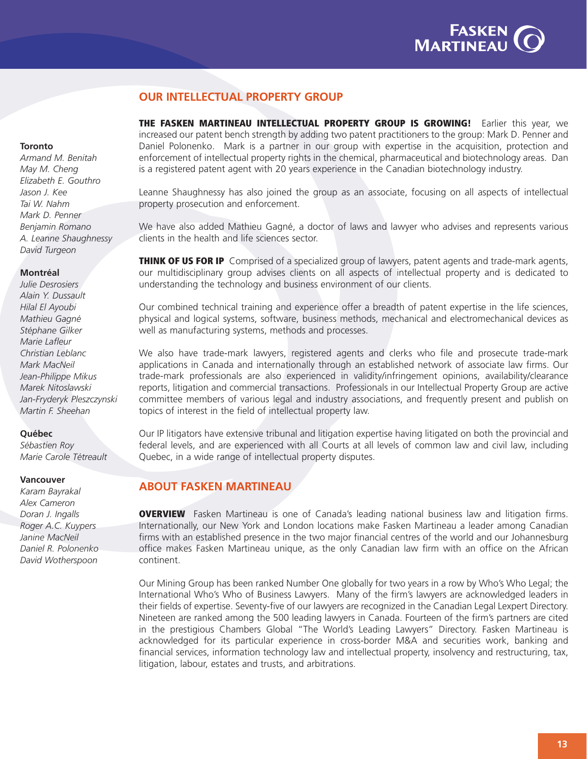

### **OUR INTELLECTUAL PROPERTY GROUP**

**THE FASKEN MARTINEAU INTELLECTUAL PROPERTY GROUP IS GROWING!** Earlier this year, we increased our patent bench strength by adding two patent practitioners to the group: Mark D. Penner and Daniel Polonenko. Mark is a partner in our group with expertise in the acquisition, protection and enforcement of intellectual property rights in the chemical, pharmaceutical and biotechnology areas. Dan is a registered patent agent with 20 years experience in the Canadian biotechnology industry.

Leanne Shaughnessy has also joined the group as an associate, focusing on all aspects of intellectual property prosecution and enforcement.

We have also added Mathieu Gagné, a doctor of laws and lawyer who advises and represents various clients in the health and life sciences sector.

**THINK OF US FOR IP** Comprised of a specialized group of lawyers, patent agents and trade-mark agents, our multidisciplinary group advises clients on all aspects of intellectual property and is dedicated to understanding the technology and business environment of our clients.

Our combined technical training and experience offer a breadth of patent expertise in the life sciences, physical and logical systems, software, business methods, mechanical and electromechanical devices as well as manufacturing systems, methods and processes.

We also have trade-mark lawyers, registered agents and clerks who file and prosecute trade-mark applications in Canada and internationally through an established network of associate law firms. Our trade-mark professionals are also experienced in validity/infringement opinions, availability/clearance reports, litigation and commercial transactions. Professionals in our Intellectual Property Group are active committee members of various legal and industry associations, and frequently present and publish on topics of interest in the field of intellectual property law.

Our IP litigators have extensive tribunal and litigation expertise having litigated on both the provincial and federal levels, and are experienced with all Courts at all levels of common law and civil law, including Quebec, in a wide range of intellectual property disputes.

### **ABOUT FASKEN MARTINEAU**

**OVERVIEW** Fasken Martineau is one of Canada's leading national business law and litigation firms. Internationally, our New York and London locations make Fasken Martineau a leader among Canadian firms with an established presence in the two major financial centres of the world and our Johannesburg office makes Fasken Martineau unique, as the only Canadian law firm with an office on the African continent.

Our Mining Group has been ranked Number One globally for two years in a row by Who's Who Legal; the International Who's Who of Business Lawyers. Many of the firm's lawyers are acknowledged leaders in their fields of expertise. Seventy-five of our lawyers are recognized in the Canadian Legal Lexpert Directory. Nineteen are ranked among the 500 leading lawyers in Canada. Fourteen of the firm's partners are cited in the prestigious Chambers Global "The World's Leading Lawyers" Directory. Fasken Martineau is acknowledged for its particular experience in cross-border M&A and securities work, banking and financial services, information technology law and intellectual property, insolvency and restructuring, tax, litigation, labour, estates and trusts, and arbitrations.

#### **Toronto**

*[Armand](http://www.fasken.com/WEB/fmdempprof.nsf/AllDocSearchEn/A05DF1A32F4014E085256FBD00568986?OpenDocument&Highlight=0,benitah,(.frmBio)) M. Benitah May M. [Cheng](http://www.fasken.com/WEB/fmdempprof.nsf/AllDocSearchEn/9EE527226C38346F8525701400662965?OpenDocument&Highlight=0,cheng,(.frmBio)) [Elizabeth](http://www.fasken.com/WEB/fmdempprof.nsf/AllDocSearchEn/142FF3C26D99EAD885256D9B0073172F?OpenDocument&Highlight=0,gouthro,(.frmBio)) E. Gouthro [Jason](http://www.fasken.com/WEB/fmdempprof.nsf/AllDocSearchEn/D80CFB1B538DE20A8825706E00509F41?OpenDocument&Highlight=0,kee,(.frmBio)) J. Kee Tai W. [Nahm](http://www.fasken.com/WEB/fmdempprof.nsf/AllDocSearchEn/8AD923DA7C1CB3E885256FBD006D4E36?OpenDocument&Highlight=0,nahm,(.frmBio)) Mark D. [Penner](http://www.fasken.com/WEB/fmdempprof.nsf/AllDocSearchEn/FBDD3F1D3B7EECC98525719300514A6C?OpenDocument&Highlight=0,penner,(.frmBio)) [Benjamin](http://www.fasken.com/WEB/fmdempprof.nsf/AllDocSearchEn/F52845B0C4C4333C85256FB30060AD85?OpenDocument&Highlight=0,romano,(.frmBio)) Romano A. Leanne [Shaughnessy](http://www.fasken.com/WEB/fmdempprof.nsf/AllDocSearchEn/C643CE24C1EC411D882571E600703CF4?OpenDocument&Highlight=0,shaughnessy,(.frmBio)) David [Turgeon](http://www.fasken.com/WEB/fmdempprof.nsf/AllDocSearchEn/6D2477A3259F72C4852570DE0069FCF5?OpenDocument&Highlight=0,turgeon,(.frmBio))*

#### **Montréal**

*Julie [Desrosiers](http://www.fasken.com/WEB/fmdempprof.nsf/AllDocSearchEn/24E4A109AFB0C48288256CDF006620D7?OpenDocument&Highlight=0,desrosiers,(.frmBio)) Alain Y. [Dussault](http://www.fasken.com/WEB/fmdempprof.nsf/AllDocSearchEn/4D4BE4CC4CA56BC085256E210074103D?OpenDocument&Highlight=0,dussault,(.frmBio)) Hilal El [Ayoubi](http://www.fasken.com/WEB/fmdempprof.nsf/AllDocSearchEn/946BC62D40352CCF852570AE0055A8EB?OpenDocument&Highlight=0,ayoubi,(.frmBio)) [Mathieu](http://www.fasken.com/WEB/fmdempprof.nsf/AllDocSearchEn/C160D752C06D48108525720A006F1417?OpenDocument&Highlight=0,gagne,(.frmBio)) Gagné [Stéphane](http://www.fasken.com/WEB/fmdempprof.nsf/AllDocSearchEn/3AD5730F8B24744587256A18008053A6?OpenDocument&Highlight=0,gilker,(.frmBio)) Gilker Marie [Lafleur](http://www.fasken.com/WEB/fmdempprof.nsf/AllDocSearchEn/FB7C41026834903787256A1800805BE0?OpenDocument&Highlight=0,lafleur,(.frmBio)) [Christian](http://www.fasken.com/WEB/fmdempprof.nsf/AllDocSearchEn/BEA06DA4F4892A9B85256D8A0055E9D0?OpenDocument&Highlight=0,leblanc,(.frmBio)) Leblanc Mark [MacNeil](http://www.fasken.com/WEB/fmdempprof.nsf/AllDocSearchEn/9F392C0C355CF83F852570AE0056CBEA?OpenDocument&Highlight=0,MacNeil,(.frmBio)) [Jean-Philippe](http://www.fasken.com/WEB/fmdempprof.nsf/AllDocSearchEn/636425ABE3DE27CE85256D800054C075?OpenDocument&Highlight=0,mikus,(.frmBio)) Mikus Marek [Nitoslawski](http://www.fasken.com/WEB/fmdempprof.nsf/AllDocSearchEn/5B04E3E5C88A240B852570AC0075E09A?OpenDocument&Highlight=0,nitoslawski,(.frmBio)) [Jan-Fryderyk](http://www.fasken.com/WEB/fmdempprof.nsf/AllDocSearchEn/B5B6CFD7E2379C3185256B490046EAE0?OpenDocument&Highlight=0,pleszczynski,(.frmBio)) Pleszczynski Martin F. [Sheehan](http://www.fasken.com/WEB/fmdempprof.nsf/AllDocSearchEn/C45E42372AC2442E87256A18008071EE?OpenDocument&Highlight=0,sheehan,(.frmBio))*

#### **Québec**

*[Sébastien](http://www.fasken.com/WEB/fmdempprof.nsf/AllDocSearchEn/E8B91A77B8E953AA8525718000564905?OpenDocument&Highlight=0,sebastien,roy,(.frmBio)) Roy Marie Carole [Tétreault](http://www.fasken.com/WEB/fmdempprof.nsf/AllDocSearchEn/441939AD4CDDC82085257180006B0DB2?OpenDocument&Highlight=0,marie,carole,tetreault,(.frmBio))*

#### **Vancouver**

*Karam [Bayrakal](http://www.fasken.com/WEB/fmdempprof.nsf/AllDoc/C57C56F5178E769B852570AB005A3739?OpenDocument) Alex [Cameron](http://www.fasken.com/WEB/fmdempprof.nsf/AllDocSearchEn/97C0D65936B51D2C87256A03005E88D3?OpenDocument&Highlight=0,cameron,(.frmBio)) Doran J. [Ingalls](http://www.fasken.com/WEB/fmdempprof.nsf/AllDocSearchEn/90ECB65A98B060BC85256FCD0057BA78?OpenDocument&Highlight=0,doran,(.frmBio)) Roger A.C. [Kuypers](http://www.fasken.com/WEB/fmdempprof.nsf/AllDocSearchEn/A603D0504E9D7E4185256FB7006B0E3F?OpenDocument&Highlight=0,kuypers,(.frmBio)) Janine [MacNe](http://www.fasken.com/WEB/fmdempprof.nsf/AllDocSearchEn/C6C3D1DAC521D3E38525717F00719D87?OpenDocument&Highlight=0,macneil,(.frmBio))il Daniel R. [Polonenko](http://www.fasken.com/WEB/fmdempprof.nsf/.vwENGBIOS/70F9930414D20F1485257146005B9B2E?OpenDocument) David [Wotherspoon](http://www.fasken.com/WEB/fmdempprof.nsf/AllDocSearchEn/384F14AF2453B92187256A03005F9CAC?OpenDocument&Highlight=0,wotherspoon,(.frmBio))*